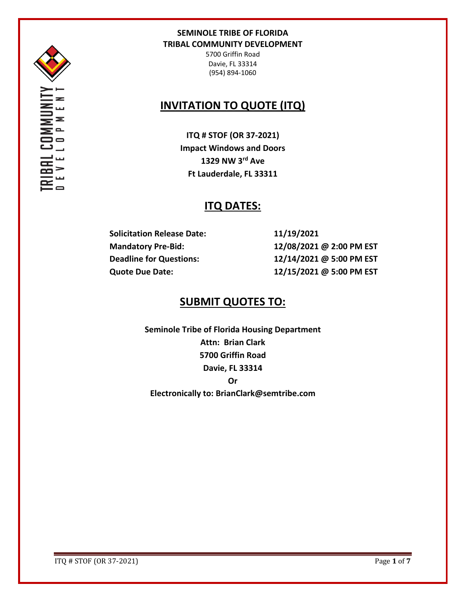

UNNU<br>0 P M I

## **SEMINOLE TRIBE OF FLORIDA TRIBAL COMMUNITY DEVELOPMENT**

5700 Griffin Road Davie, FL 33314 (954) 894-1060

# **INVITATION TO QUOTE (ITQ)**

**ITQ # STOF (OR 37-2021) Impact Windows and Doors 1329 NW 3rd Ave Ft Lauderdale, FL 33311**

# **ITQ DATES:**

**Solicitation Release Date: 11/19/2021**

**Mandatory Pre-Bid: 12/08/2021 @ 2:00 PM EST Deadline for Questions: 12/14/2021 @ 5:00 PM EST Quote Due Date: 12/15/2021 @ 5:00 PM EST**

## **SUBMIT QUOTES TO:**

**Seminole Tribe of Florida Housing Department Attn: Brian Clark 5700 Griffin Road Davie, FL 33314 Or Electronically to: BrianClark@semtribe.com** 

ITQ # STOF (OR 37-2021) Page **1** of **7**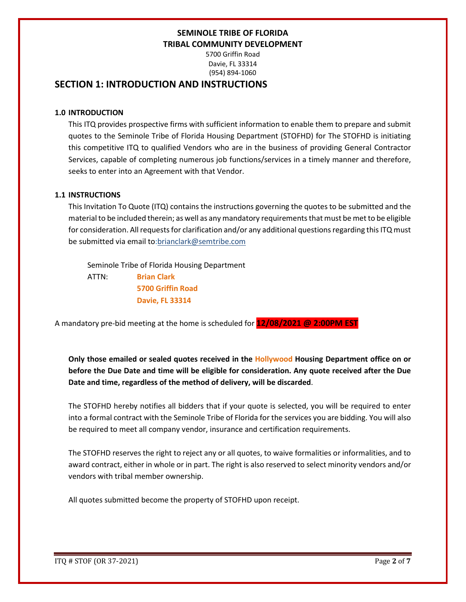5700 Griffin Road Davie, FL 33314 (954) 894-1060

## **SECTION 1: INTRODUCTION AND INSTRUCTIONS**

### **1.0 INTRODUCTION**

This ITQ provides prospective firms with sufficient information to enable them to prepare and submit quotes to the Seminole Tribe of Florida Housing Department (STOFHD) for The STOFHD is initiating this competitive ITQ to qualified Vendors who are in the business of providing General Contractor Services, capable of completing numerous job functions/services in a timely manner and therefore, seeks to enter into an Agreement with that Vendor.

### **1.1 INSTRUCTIONS**

This Invitation To Quote (ITQ) contains the instructions governing the quotes to be submitted and the material to be included therein; as well as any mandatory requirements that must be met to be eligible for consideration. All requests for clarification and/or any additional questions regarding this ITQ must be submitted via email to:brianclark@semtribe.com

 Seminole Tribe of Florida Housing Department ATTN: **Brian Clark 5700 Griffin Road Davie, FL 33314**

A mandatory pre-bid meeting at the home is scheduled for **12/08/2021 @ 2:00PM EST**

**Only those emailed or sealed quotes received in the Hollywood Housing Department office on or before the Due Date and time will be eligible for consideration. Any quote received after the Due Date and time, regardless of the method of delivery, will be discarded**.

The STOFHD hereby notifies all bidders that if your quote is selected, you will be required to enter into a formal contract with the Seminole Tribe of Florida for the services you are bidding. You will also be required to meet all company vendor, insurance and certification requirements.

The STOFHD reserves the right to reject any or all quotes, to waive formalities or informalities, and to award contract, either in whole or in part. The right is also reserved to select minority vendors and/or vendors with tribal member ownership.

All quotes submitted become the property of STOFHD upon receipt.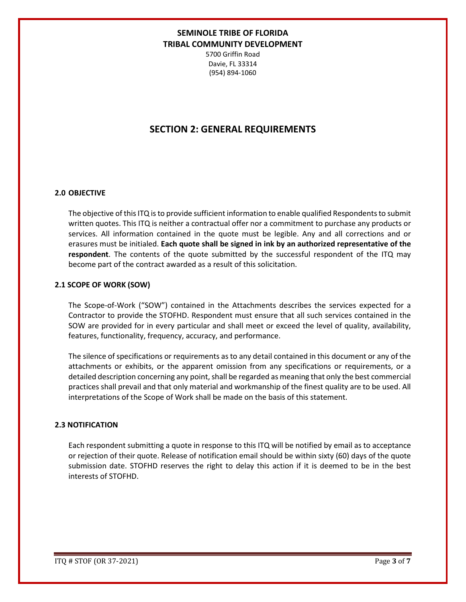5700 Griffin Road Davie, FL 33314 (954) 894-1060

## **SECTION 2: GENERAL REQUIREMENTS**

#### **2.0 OBJECTIVE**

The objective of this ITQ is to provide sufficient information to enable qualified Respondents to submit written quotes. This ITQ is neither a contractual offer nor a commitment to purchase any products or services. All information contained in the quote must be legible. Any and all corrections and or erasures must be initialed. **Each quote shall be signed in ink by an authorized representative of the respondent**. The contents of the quote submitted by the successful respondent of the ITQ may become part of the contract awarded as a result of this solicitation.

#### **2.1 SCOPE OF WORK (SOW)**

The Scope-of-Work ("SOW") contained in the Attachments describes the services expected for a Contractor to provide the STOFHD. Respondent must ensure that all such services contained in the SOW are provided for in every particular and shall meet or exceed the level of quality, availability, features, functionality, frequency, accuracy, and performance.

The silence of specifications or requirements as to any detail contained in this document or any of the attachments or exhibits, or the apparent omission from any specifications or requirements, or a detailed description concerning any point, shall be regarded as meaning that only the best commercial practices shall prevail and that only material and workmanship of the finest quality are to be used. All interpretations of the Scope of Work shall be made on the basis of this statement.

#### **2.3 NOTIFICATION**

Each respondent submitting a quote in response to this ITQ will be notified by email as to acceptance or rejection of their quote. Release of notification email should be within sixty (60) days of the quote submission date. STOFHD reserves the right to delay this action if it is deemed to be in the best interests of STOFHD.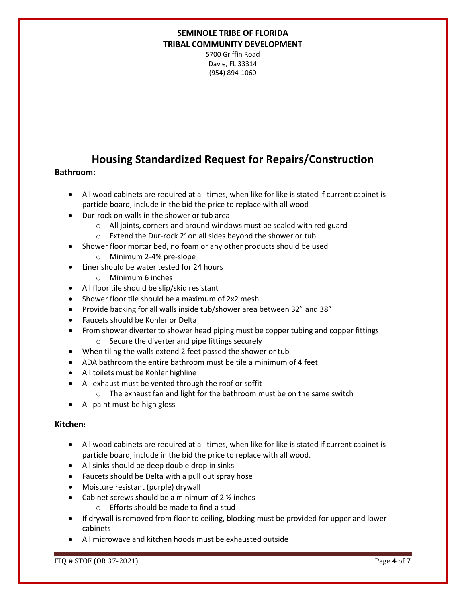5700 Griffin Road Davie, FL 33314 (954) 894-1060

## **Housing Standardized Request for Repairs/Construction**

### **Bathroom:**

- All wood cabinets are required at all times, when like for like is stated if current cabinet is particle board, include in the bid the price to replace with all wood
- Dur-rock on walls in the shower or tub area
	- o All joints, corners and around windows must be sealed with red guard
	- o Extend the Dur-rock 2' on all sides beyond the shower or tub
- Shower floor mortar bed, no foam or any other products should be used
	- o Minimum 2-4% pre-slope
- Liner should be water tested for 24 hours
	- o Minimum 6 inches
- All floor tile should be slip/skid resistant
- Shower floor tile should be a maximum of 2x2 mesh
- Provide backing for all walls inside tub/shower area between 32" and 38"
- Faucets should be Kohler or Delta
- From shower diverter to shower head piping must be copper tubing and copper fittings o Secure the diverter and pipe fittings securely
- When tiling the walls extend 2 feet passed the shower or tub
- ADA bathroom the entire bathroom must be tile a minimum of 4 feet
- All toilets must be Kohler highline
- All exhaust must be vented through the roof or soffit
	- o The exhaust fan and light for the bathroom must be on the same switch
- All paint must be high gloss

### **Kitchen:**

- All wood cabinets are required at all times, when like for like is stated if current cabinet is particle board, include in the bid the price to replace with all wood.
- All sinks should be deep double drop in sinks
- Faucets should be Delta with a pull out spray hose
- Moisture resistant (purple) drywall
- Cabinet screws should be a minimum of 2 ½ inches
	- o Efforts should be made to find a stud
- If drywall is removed from floor to ceiling, blocking must be provided for upper and lower cabinets
- All microwave and kitchen hoods must be exhausted outside

ITQ # STOF (OR 37-2021) Page **4** of **7**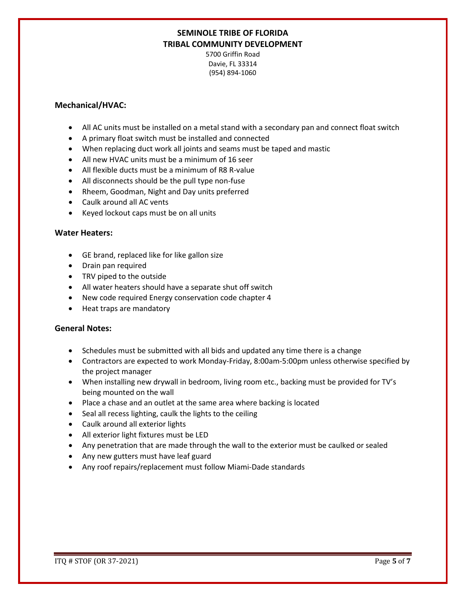5700 Griffin Road Davie, FL 33314 (954) 894-1060

### **Mechanical/HVAC:**

- All AC units must be installed on a metal stand with a secondary pan and connect float switch
- A primary float switch must be installed and connected
- When replacing duct work all joints and seams must be taped and mastic
- All new HVAC units must be a minimum of 16 seer
- All flexible ducts must be a minimum of R8 R-value
- All disconnects should be the pull type non-fuse
- Rheem, Goodman, Night and Day units preferred
- Caulk around all AC vents
- Keyed lockout caps must be on all units

#### **Water Heaters:**

- GE brand, replaced like for like gallon size
- Drain pan required
- TRV piped to the outside
- All water heaters should have a separate shut off switch
- New code required Energy conservation code chapter 4
- Heat traps are mandatory

### **General Notes:**

- Schedules must be submitted with all bids and updated any time there is a change
- Contractors are expected to work Monday-Friday, 8:00am-5:00pm unless otherwise specified by the project manager
- When installing new drywall in bedroom, living room etc., backing must be provided for TV's being mounted on the wall
- Place a chase and an outlet at the same area where backing is located
- Seal all recess lighting, caulk the lights to the ceiling
- Caulk around all exterior lights
- All exterior light fixtures must be LED
- Any penetration that are made through the wall to the exterior must be caulked or sealed
- Any new gutters must have leaf guard
- Any roof repairs/replacement must follow Miami-Dade standards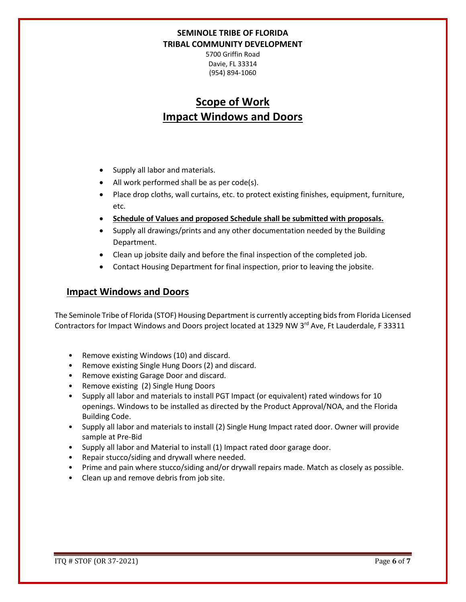5700 Griffin Road Davie, FL 33314 (954) 894-1060

# **Scope of Work Impact Windows and Doors**

- Supply all labor and materials.
- All work performed shall be as per code(s).
- Place drop cloths, wall curtains, etc. to protect existing finishes, equipment, furniture, etc.
- **Schedule of Values and proposed Schedule shall be submitted with proposals.**
- Supply all drawings/prints and any other documentation needed by the Building Department.
- Clean up jobsite daily and before the final inspection of the completed job.
- Contact Housing Department for final inspection, prior to leaving the jobsite.

## **Impact Windows and Doors**

The Seminole Tribe of Florida (STOF) Housing Department is currently accepting bids from Florida Licensed Contractors for Impact Windows and Doors project located at 1329 NW 3<sup>rd</sup> Ave, Ft Lauderdale, F 33311

- Remove existing Windows (10) and discard.
- Remove existing Single Hung Doors (2) and discard.
- Remove existing Garage Door and discard.
- Remove existing (2) Single Hung Doors
- Supply all labor and materials to install PGT Impact (or equivalent) rated windows for 10 openings. Windows to be installed as directed by the Product Approval/NOA, and the Florida Building Code.
- Supply all labor and materials to install (2) Single Hung Impact rated door. Owner will provide sample at Pre-Bid
- Supply all labor and Material to install (1) Impact rated door garage door.
- Repair stucco/siding and drywall where needed.
- Prime and pain where stucco/siding and/or drywall repairs made. Match as closely as possible.
- Clean up and remove debris from job site.